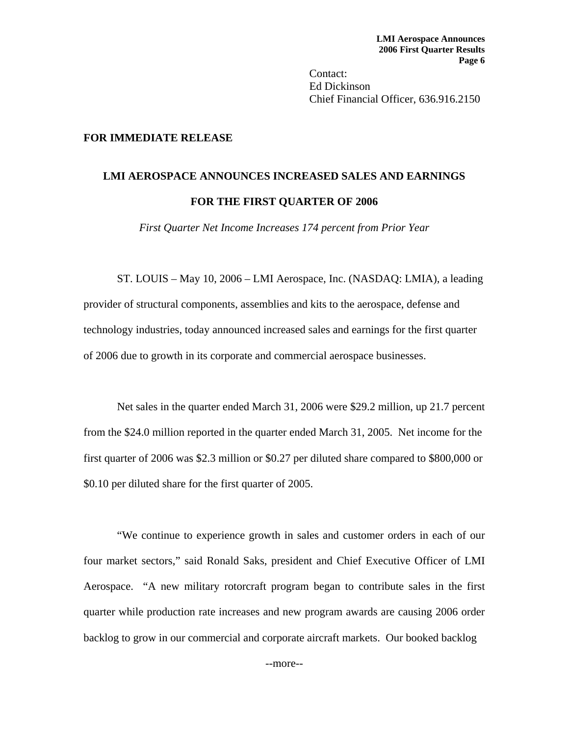Contact: Ed Dickinson Chief Financial Officer, 636.916.2150

## **FOR IMMEDIATE RELEASE**

## **LMI AEROSPACE ANNOUNCES INCREASED SALES AND EARNINGS FOR THE FIRST QUARTER OF 2006**

*First Quarter Net Income Increases 174 percent from Prior Year* 

ST. LOUIS – May 10, 2006 – LMI Aerospace, Inc. (NASDAQ: LMIA), a leading provider of structural components, assemblies and kits to the aerospace, defense and technology industries, today announced increased sales and earnings for the first quarter of 2006 due to growth in its corporate and commercial aerospace businesses.

Net sales in the quarter ended March 31, 2006 were \$29.2 million, up 21.7 percent from the \$24.0 million reported in the quarter ended March 31, 2005. Net income for the first quarter of 2006 was \$2.3 million or \$0.27 per diluted share compared to \$800,000 or \$0.10 per diluted share for the first quarter of 2005.

 "We continue to experience growth in sales and customer orders in each of our four market sectors," said Ronald Saks, president and Chief Executive Officer of LMI Aerospace. "A new military rotorcraft program began to contribute sales in the first quarter while production rate increases and new program awards are causing 2006 order backlog to grow in our commercial and corporate aircraft markets. Our booked backlog

--more--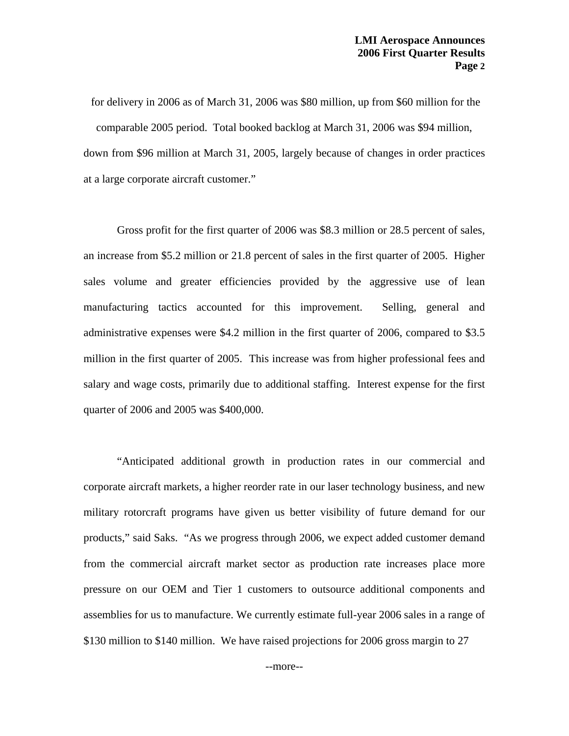for delivery in 2006 as of March 31, 2006 was \$80 million, up from \$60 million for the comparable 2005 period. Total booked backlog at March 31, 2006 was \$94 million, down from \$96 million at March 31, 2005, largely because of changes in order practices at a large corporate aircraft customer."

 Gross profit for the first quarter of 2006 was \$8.3 million or 28.5 percent of sales, an increase from \$5.2 million or 21.8 percent of sales in the first quarter of 2005. Higher sales volume and greater efficiencies provided by the aggressive use of lean manufacturing tactics accounted for this improvement. Selling, general and administrative expenses were \$4.2 million in the first quarter of 2006, compared to \$3.5 million in the first quarter of 2005. This increase was from higher professional fees and salary and wage costs, primarily due to additional staffing. Interest expense for the first quarter of 2006 and 2005 was \$400,000.

 "Anticipated additional growth in production rates in our commercial and corporate aircraft markets, a higher reorder rate in our laser technology business, and new military rotorcraft programs have given us better visibility of future demand for our products," said Saks. "As we progress through 2006, we expect added customer demand from the commercial aircraft market sector as production rate increases place more pressure on our OEM and Tier 1 customers to outsource additional components and assemblies for us to manufacture. We currently estimate full-year 2006 sales in a range of \$130 million to \$140 million. We have raised projections for 2006 gross margin to 27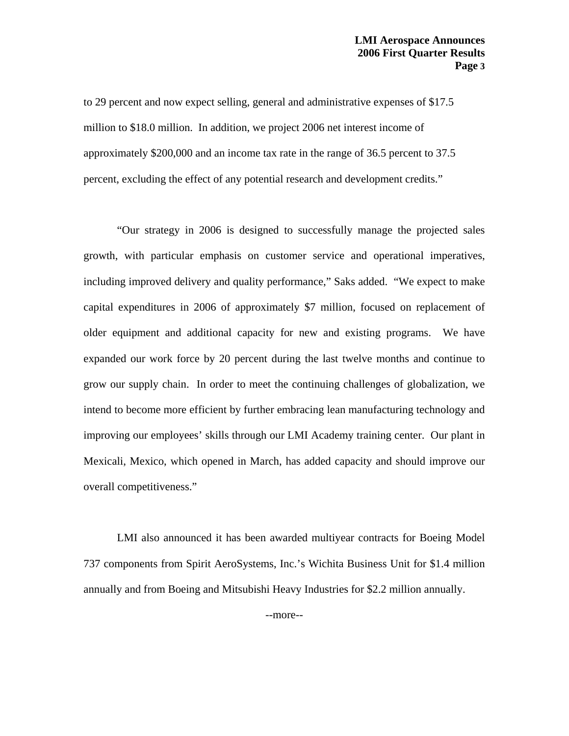to 29 percent and now expect selling, general and administrative expenses of \$17.5 million to \$18.0 million. In addition, we project 2006 net interest income of approximately \$200,000 and an income tax rate in the range of 36.5 percent to 37.5 percent, excluding the effect of any potential research and development credits."

 "Our strategy in 2006 is designed to successfully manage the projected sales growth, with particular emphasis on customer service and operational imperatives, including improved delivery and quality performance," Saks added. "We expect to make capital expenditures in 2006 of approximately \$7 million, focused on replacement of older equipment and additional capacity for new and existing programs. We have expanded our work force by 20 percent during the last twelve months and continue to grow our supply chain. In order to meet the continuing challenges of globalization, we intend to become more efficient by further embracing lean manufacturing technology and improving our employees' skills through our LMI Academy training center. Our plant in Mexicali, Mexico, which opened in March, has added capacity and should improve our overall competitiveness."

 LMI also announced it has been awarded multiyear contracts for Boeing Model 737 components from Spirit AeroSystems, Inc.'s Wichita Business Unit for \$1.4 million annually and from Boeing and Mitsubishi Heavy Industries for \$2.2 million annually.

--more--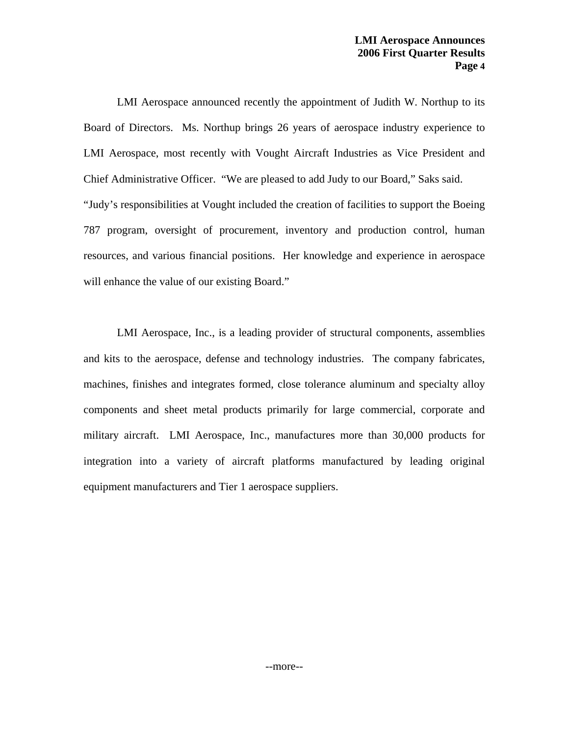LMI Aerospace announced recently the appointment of Judith W. Northup to its Board of Directors. Ms. Northup brings 26 years of aerospace industry experience to LMI Aerospace, most recently with Vought Aircraft Industries as Vice President and Chief Administrative Officer. "We are pleased to add Judy to our Board," Saks said. "Judy's responsibilities at Vought included the creation of facilities to support the Boeing 787 program, oversight of procurement, inventory and production control, human resources, and various financial positions. Her knowledge and experience in aerospace will enhance the value of our existing Board."

 LMI Aerospace, Inc., is a leading provider of structural components, assemblies and kits to the aerospace, defense and technology industries. The company fabricates, machines, finishes and integrates formed, close tolerance aluminum and specialty alloy components and sheet metal products primarily for large commercial, corporate and military aircraft. LMI Aerospace, Inc., manufactures more than 30,000 products for integration into a variety of aircraft platforms manufactured by leading original equipment manufacturers and Tier 1 aerospace suppliers.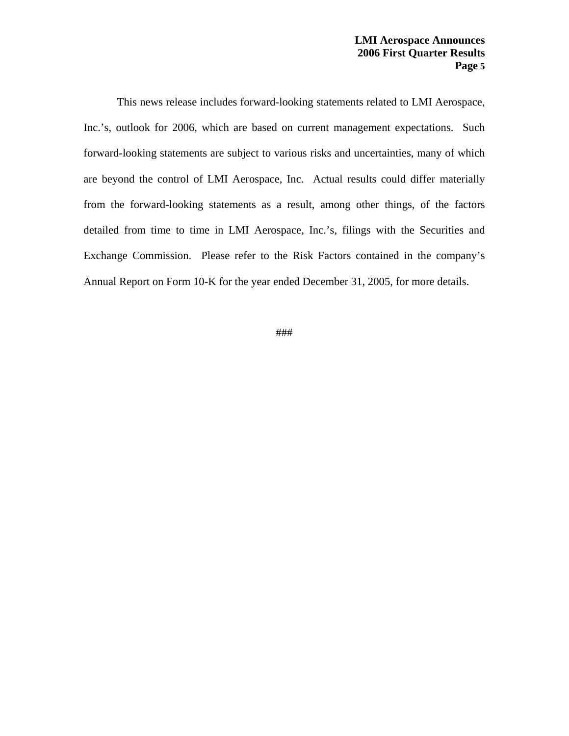This news release includes forward-looking statements related to LMI Aerospace, Inc.'s, outlook for 2006, which are based on current management expectations. Such forward-looking statements are subject to various risks and uncertainties, many of which are beyond the control of LMI Aerospace, Inc. Actual results could differ materially from the forward-looking statements as a result, among other things, of the factors detailed from time to time in LMI Aerospace, Inc.'s, filings with the Securities and Exchange Commission. Please refer to the Risk Factors contained in the company's Annual Report on Form 10-K for the year ended December 31, 2005, for more details.

###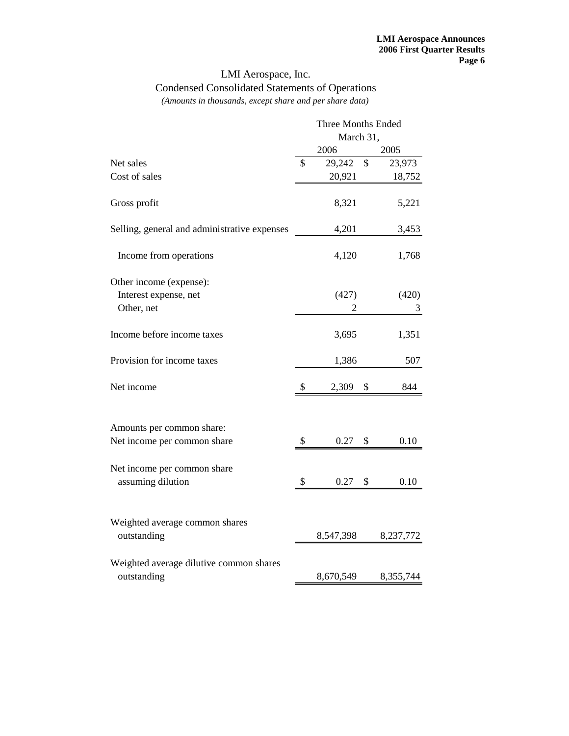## LMI Aerospace, Inc. Condensed Consolidated Statements of Operations

*(Amounts in thousands, except share and per share data)*

|                                                          | <b>Three Months Ended</b> |           |    |           |  |
|----------------------------------------------------------|---------------------------|-----------|----|-----------|--|
|                                                          | March 31,                 |           |    |           |  |
|                                                          |                           | 2006      |    | 2005      |  |
| Net sales                                                | \$                        | 29,242    | \$ | 23,973    |  |
| Cost of sales                                            |                           | 20,921    |    | 18,752    |  |
| Gross profit                                             |                           | 8,321     |    | 5,221     |  |
| Selling, general and administrative expenses             |                           | 4,201     |    | 3,453     |  |
| Income from operations                                   |                           | 4,120     |    | 1,768     |  |
| Other income (expense):                                  |                           |           |    |           |  |
| Interest expense, net                                    | (427)                     |           |    | (420)     |  |
| Other, net                                               |                           | 2         |    | 3         |  |
| Income before income taxes                               |                           | 3,695     |    | 1,351     |  |
| Provision for income taxes                               |                           | 1,386     |    | 507       |  |
| Net income                                               | \$                        | 2,309     | \$ | 844       |  |
|                                                          |                           |           |    |           |  |
| Amounts per common share:<br>Net income per common share | \$                        | 0.27      | \$ | 0.10      |  |
|                                                          |                           |           |    |           |  |
| Net income per common share<br>assuming dilution         | \$                        | 0.27      | \$ | 0.10      |  |
|                                                          |                           |           |    |           |  |
| Weighted average common shares                           |                           |           |    |           |  |
| outstanding                                              |                           | 8,547,398 |    | 8,237,772 |  |
| Weighted average dilutive common shares                  |                           |           |    |           |  |
| outstanding                                              |                           | 8,670,549 |    | 8,355,744 |  |